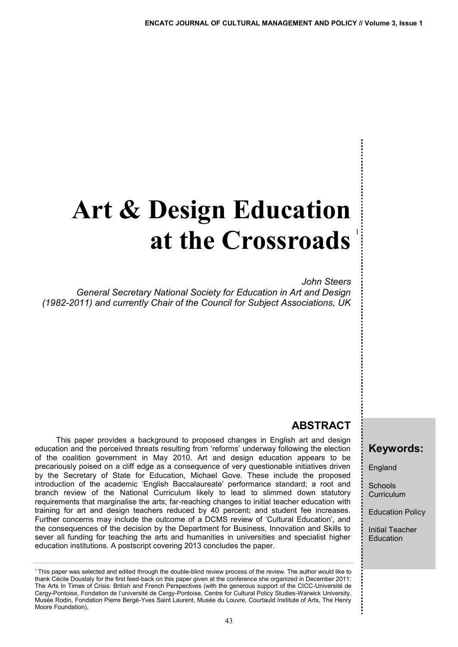# 1 **Art & Design Education at the Crossroads**

*John Steers*

*General Secretary National Society for Education in Art and Design (1982-2011) and currently Chair of the Council for Subject Associations, UK* 

# **ABSTRACT**

This paper provides a background to proposed changes in English art and design education and the perceived threats resulting from 'reforms' underway following the election of the coalition government in May 2010. Art and design education appears to be precariously poised on a cliff edge as a consequence of very questionable initiatives driven by the Secretary of State for Education, Michael Gove. These include the proposed introduction of the academic 'English Baccalaureate' performance standard; a root and branch review of the National Curriculum likely to lead to slimmed down statutory requirements that marginalise the arts; far-reaching changes to initial teacher education with training for art and design teachers reduced by 40 percent; and student fee increases. Further concerns may include the outcome of a DCMS review of 'Cultural Education', and the consequences of the decision by the Department for Business, Innovation and Skills to sever all funding for teaching the arts and humanities in universities and specialist higher education institutions. A postscript covering 2013 concludes the paper.

 $1$  This paper was selected and edited through the double-blind review process of the review. The author would like to thank Cécile Doustaly for the first feed-back on this paper given at the conference she organized in December 2011: The Arts In Times of Crisis: British and French Perspectives (with the generous support of the CICC-Université de Cergy-Pontoise, Fondation de l'université de Cergy-Pontoise, Centre for Cultural Policy Studies-Warwick University, Musée Rodin, Fondation Pierre Bergé-Yves Saint Laurent, Musée du Louvre, Courtauld Institute of Arts, The Henry Moore Foundation).

#### **Keywords:**

England

**Schools Curriculum** 

Education Policy

Initial Teacher Education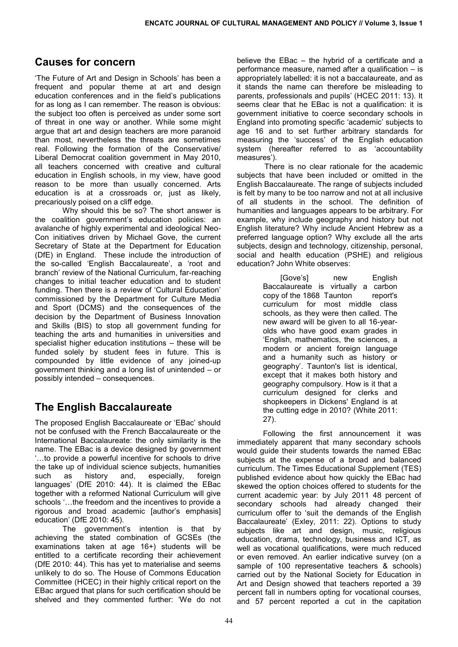### **Causes for concern**

'The Future of Art and Design in Schools' has been a frequent and popular theme at art and design education conferences and in the field's publications for as long as I can remember. The reason is obvious: the subject too often is perceived as under some sort of threat in one way or another. While some might argue that art and design teachers are more paranoid than most, nevertheless the threats are sometimes real. Following the formation of the Conservative/ Liberal Democrat coalition government in May 2010, all teachers concerned with creative and cultural education in English schools, in my view, have good reason to be more than usually concerned. Arts education is at a crossroads or, just as likely, precariously poised on a cliff edge.

Why should this be so? The short answer is the coalition government's education policies: an avalanche of highly experimental and ideological Neo-Con initiatives driven by Michael Gove, the current Secretary of State at the Department for Education (DfE) in England. These include the introduction of the so-called 'English Baccalaureate', a 'root and branch' review of the National Curriculum, far-reaching changes to initial teacher education and to student funding. Then there is a review of 'Cultural Education' commissioned by the Department for Culture Media and Sport (DCMS) and the consequences of the decision by the Department of Business Innovation and Skills (BIS) to stop all government funding for teaching the arts and humanities in universities and specialist higher education institutions – these will be funded solely by student fees in future. This is compounded by little evidence of any joined-up government thinking and a long list of unintended – or possibly intended – consequences.

# **The English Baccalaureate**

The proposed English Baccalaureate or 'EBac' should not be confused with the French Baccalaureate or the International Baccalaureate: the only similarity is the name. The EBac is a device designed by government '…to provide a powerful incentive for schools to drive the take up of individual science subjects, humanities such as history and, especially, foreign languages' (DfE 2010: 44). It is claimed the EBac together with a reformed National Curriculum will give schools '…the freedom and the incentives to provide a rigorous and broad academic [author's emphasis] education' (DfE 2010: 45).

The government's intention is that by achieving the stated combination of GCSEs (the examinations taken at age 16+) students will be entitled to a certificate recording their achievement (DfE 2010: 44). This has yet to materialise and seems unlikely to do so. The House of Commons Education Committee (HCEC) in their highly critical report on the EBac argued that plans for such certification should be shelved and they commented further: 'We do not

believe the EBac – the hybrid of a certificate and a performance measure, named after a qualification – is appropriately labelled: it is not a baccalaureate, and as it stands the name can therefore be misleading to parents, professionals and pupils' (HCEC 2011: 13). It seems clear that he EBac is not a qualification: it is government initiative to coerce secondary schools in England into promoting specific 'academic' subjects to age 16 and to set further arbitrary standards for measuring the 'success' of the English education system (hereafter referred to as 'accountability measures').

There is no clear rationale for the academic subjects that have been included or omitted in the English Baccalaureate. The range of subjects included is felt by many to be too narrow and not at all inclusive of all students in the school. The definition of humanities and languages appears to be arbitrary. For example, why include geography and history but not English literature? Why include Ancient Hebrew as a preferred language option? Why exclude all the arts subjects, design and technology, citizenship, personal, social and health education (PSHE) and religious education? John White observes:

> [Gove's] new English Baccalaureate is virtually a carbon copy of the 1868 Taunton report's curriculum for most middle class schools, as they were then called. The new award will be given to all 16-yearolds who have good exam grades in 'English, mathematics, the sciences, a modern or ancient foreign language and a humanity such as history or geography'. Taunton's list is identical, except that it makes both history and geography compulsory. How is it that a curriculum designed for clerks and shopkeepers in Dickens' England is at the cutting edge in 2010? (White 2011: 27).

Following the first announcement it was immediately apparent that many secondary schools would guide their students towards the named EBac subjects at the expense of a broad and balanced curriculum. The Times Educational Supplement (TES) published evidence about how quickly the EBac had skewed the option choices offered to students for the current academic year: by July 2011 48 percent of secondary schools had already changed their curriculum offer to 'suit the demands of the English Baccalaureate' (Exley, 2011: 22). Options to study subjects like art and design, music, religious education, drama, technology, business and ICT, as well as vocational qualifications, were much reduced or even removed. An earlier indicative survey (on a sample of 100 representative teachers & schools) carried out by the National Society for Education in Art and Design showed that teachers reported a 39 percent fall in numbers opting for vocational courses, and 57 percent reported a cut in the capitation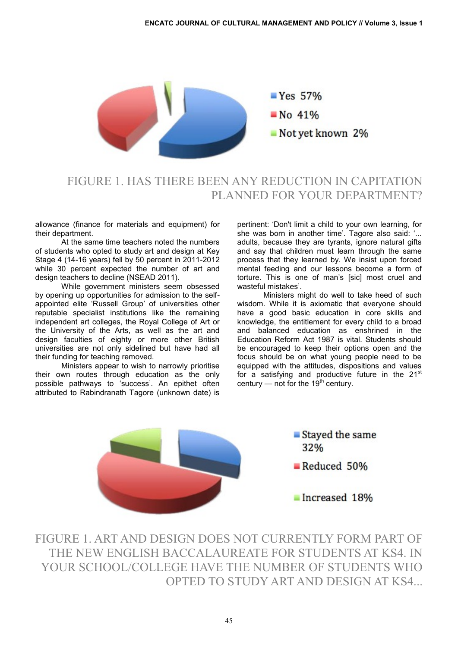

# FIGURE 1. HAS THERE BEEN ANY REDUCTION IN CAPITATION PLANNED FOR YOUR DEPARTMENT?

allowance (finance for materials and equipment) for their department.

At the same time teachers noted the numbers of students who opted to study art and design at Key Stage 4 (14-16 years) fell by 50 percent in 2011-2012 while 30 percent expected the number of art and design teachers to decline (NSEAD 2011).

While government ministers seem obsessed by opening up opportunities for admission to the selfappointed elite 'Russell Group' of universities other reputable specialist institutions like the remaining independent art colleges, the Royal College of Art or the University of the Arts, as well as the art and design faculties of eighty or more other British universities are not only sidelined but have had all their funding for teaching removed.

Ministers appear to wish to narrowly prioritise their own routes through education as the only possible pathways to 'success'. An epithet often attributed to Rabindranath Tagore (unknown date) is

pertinent: 'Don't limit a child to your own learning, for she was born in another time'. Tagore also said: '... adults, because they are tyrants, ignore natural gifts and say that children must learn through the same process that they learned by. We insist upon forced mental feeding and our lessons become a form of torture. This is one of man's [sic] most cruel and wasteful mistakes'.

Ministers might do well to take heed of such wisdom. While it is axiomatic that everyone should have a good basic education in core skills and knowledge, the entitlement for every child to a broad and balanced education as enshrined in the Education Reform Act 1987 is vital. Students should be encouraged to keep their options open and the focus should be on what young people need to be equipped with the attitudes, dispositions and values for a satisfying and productive future in the  $21<sup>st</sup>$ century — not for the  $19^{th}$  century.



FIGURE 1. ART AND DESIGN DOES NOT CURRENTLY FORM PART OF THE NEW ENGLISH BACCALAUREATE FOR STUDENTS AT KS4. IN YOUR SCHOOL/COLLEGE HAVE THE NUMBER OF STUDENTS WHO OPTED TO STUDY ART AND DESIGN AT KS4...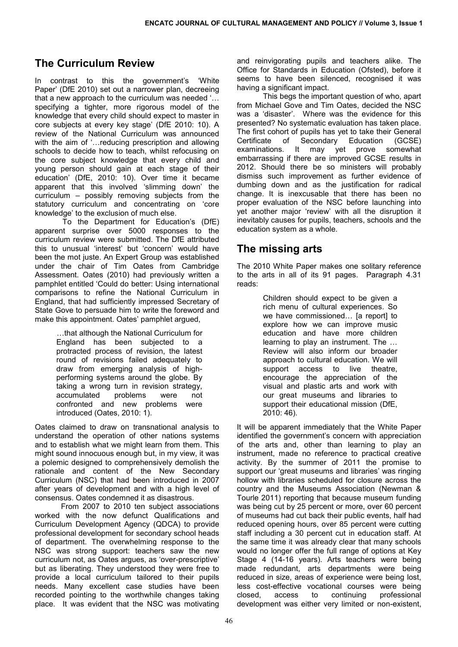# **The Curriculum Review**

In contrast to this the government's 'White Paper' (DfE 2010) set out a narrower plan, decreeing that a new approach to the curriculum was needed '… specifying a tighter, more rigorous model of the knowledge that every child should expect to master in core subjects at every key stage' (DfE 2010: 10). A review of the National Curriculum was announced with the aim of '…reducing prescription and allowing schools to decide how to teach, whilst refocusing on the core subject knowledge that every child and young person should gain at each stage of their education' (DfE, 2010: 10). Over time it became apparent that this involved 'slimming down' the curriculum – possibly removing subjects from the statutory curriculum and concentrating on 'core knowledge' to the exclusion of much else.

To the Department for Education's (DfE) apparent surprise over 5000 responses to the curriculum review were submitted. The DfE attributed this to unusual 'interest' but 'concern' would have been the mot juste. An Expert Group was established under the chair of Tim Oates from Cambridge Assessment. Oates (2010) had previously written a pamphlet entitled 'Could do better: Using international comparisons to refine the National Curriculum in England, that had sufficiently impressed Secretary of State Gove to persuade him to write the foreword and make this appointment. Oates' pamphlet argued,

> …that although the National Curriculum for England has been subjected to a protracted process of revision, the latest round of revisions failed adequately to draw from emerging analysis of highperforming systems around the globe. By taking a wrong turn in revision strategy, accumulated problems were not confronted and new problems were introduced (Oates, 2010: 1).

Oates claimed to draw on transnational analysis to understand the operation of other nations systems and to establish what we might learn from them. This might sound innocuous enough but, in my view, it was a polemic designed to comprehensively demolish the rationale and content of the New Secondary Curriculum (NSC) that had been introduced in 2007 after years of development and with a high level of consensus. Oates condemned it as disastrous.

From 2007 to 2010 ten subject associations worked with the now defunct Qualifications and Curriculum Development Agency (QDCA) to provide professional development for secondary school heads of department. The overwhelming response to the NSC was strong support: teachers saw the new curriculum not, as Oates argues, as 'over-prescriptive' but as liberating. They understood they were free to provide a local curriculum tailored to their pupils needs. Many excellent case studies have been recorded pointing to the worthwhile changes taking place. It was evident that the NSC was motivating and reinvigorating pupils and teachers alike. The Office for Standards in Education (Ofsted), before it seems to have been silenced, recognised it was having a significant impact.

This begs the important question of who, apart from Michael Gove and Tim Oates, decided the NSC was a 'disaster'. Where was the evidence for this presented? No systematic evaluation has taken place. The first cohort of pupils has yet to take their General Certificate of Secondary Education (GCSE) examinations. It may yet prove somewhat embarrassing if there are improved GCSE results in 2012. Should there be so ministers will probably dismiss such improvement as further evidence of dumbing down and as the justification for radical change. It is inexcusable that there has been no proper evaluation of the NSC before launching into yet another major 'review' with all the disruption it inevitably causes for pupils, teachers, schools and the education system as a whole.

### **The missing arts**

The 2010 White Paper makes one solitary reference to the arts in all of its 91 pages. Paragraph 4.31 reads:

> Children should expect to be given a rich menu of cultural experiences. So we have commissioned… [a report] to explore how we can improve music education and have more children learning to play an instrument. The … Review will also inform our broader approach to cultural education. We will support access to live theatre, encourage the appreciation of the visual and plastic arts and work with our great museums and libraries to support their educational mission (DfE, 2010: 46).

It will be apparent immediately that the White Paper identified the government's concern with appreciation of the arts and, other than learning to play an instrument, made no reference to practical creative activity. By the summer of 2011 the promise to support our 'great museums and libraries' was ringing hollow with libraries scheduled for closure across the country and the Museums Association (Newman & Tourle 2011) reporting that because museum funding was being cut by 25 percent or more, over 60 percent of museums had cut back their public events, half had reduced opening hours, over 85 percent were cutting staff including a 30 percent cut in education staff. At the same time it was already clear that many schools would no longer offer the full range of options at Key Stage 4 (14-16 years). Arts teachers were being made redundant, arts departments were being reduced in size, areas of experience were being lost, less cost-effective vocational courses were being closed, access to continuing professional development was either very limited or non-existent,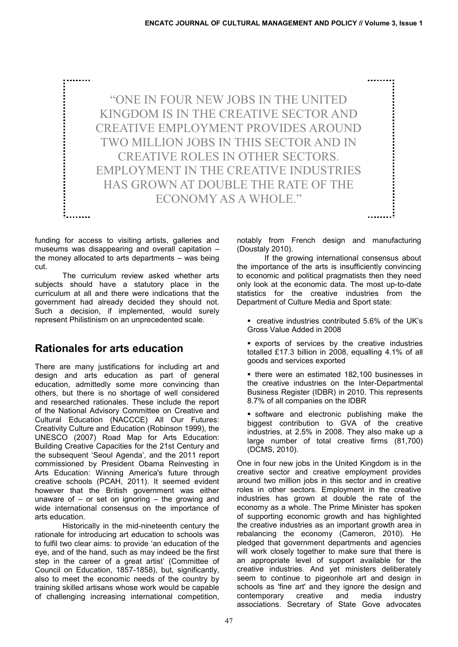

funding for access to visiting artists, galleries and museums was disappearing and overall capitation – the money allocated to arts departments – was being cut.

The curriculum review asked whether arts subjects should have a statutory place in the curriculum at all and there were indications that the government had already decided they should not. Such a decision, if implemented, would surely represent Philistinism on an unprecedented scale.

# **Rationales for arts education**

There are many justifications for including art and design and arts education as part of general education, admittedly some more convincing than others, but there is no shortage of well considered and researched rationales. These include the report of the National Advisory Committee on Creative and Cultural Education (NACCCE) All Our Futures: Creativity Culture and Education (Robinson 1999), the UNESCO (2007) Road Map for Arts Education: Building Creative Capacities for the 21st Century and the subsequent 'Seoul Agenda', and the 2011 report commissioned by President Obama Reinvesting in Arts Education: Winning America's future through creative schools (PCAH, 2011). It seemed evident however that the British government was either unaware of  $-$  or set on ignoring  $-$  the growing and wide international consensus on the importance of arts education.

Historically in the mid-nineteenth century the rationale for introducing art education to schools was to fulfil two clear aims: to provide 'an education of the eye, and of the hand, such as may indeed be the first step in the career of a great artist' (Committee of Council on Education, 1857-1858), but, significantly, also to meet the economic needs of the country by training skilled artisans whose work would be capable of challenging increasing international competition,

notably from French design and manufacturing (Doustaly 2010).

If the growing international consensus about the importance of the arts is insufficiently convincing to economic and political pragmatists then they need only look at the economic data. The most up-to-date statistics for the creative industries from the Department of Culture Media and Sport state:

- creative industries contributed 5.6% of the UK's Gross Value Added in 2008
- exports of services by the creative industries totalled £17.3 billion in 2008, equalling 4.1% of all goods and services exported
- there were an estimated 182,100 businesses in the creative industries on the Inter-Departmental Business Register (IDBR) in 2010. This represents 8.7% of all companies on the IDBR
- **software and electronic publishing make the** biggest contribution to GVA of the creative industries, at 2.5% in 2008. They also make up a large number of total creative firms (81,700) (DCMS, 2010).

One in four new jobs in the United Kingdom is in the creative sector and creative employment provides around two million jobs in this sector and in creative roles in other sectors. Employment in the creative industries has grown at double the rate of the economy as a whole. The Prime Minister has spoken of supporting economic growth and has highlighted the creative industries as an important growth area in rebalancing the economy (Cameron, 2010). He pledged that government departments and agencies will work closely together to make sure that there is an appropriate level of support available for the creative industries. And yet ministers deliberately seem to continue to pigeonhole art and design in schools as 'fine art' and they ignore the design and contemporary creative and media industry associations. Secretary of State Gove advocates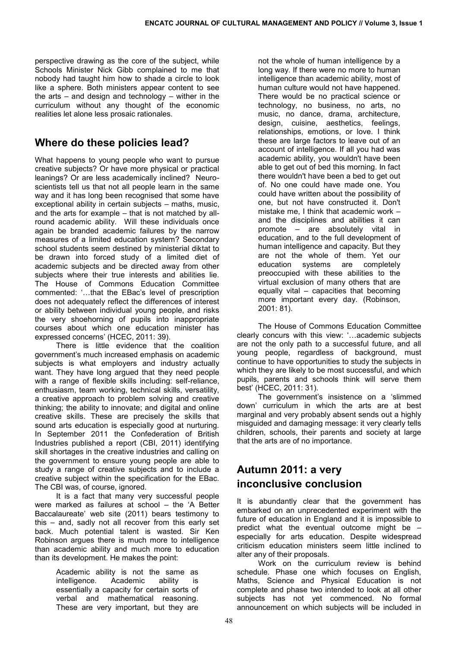perspective drawing as the core of the subject, while Schools Minister Nick Gibb complained to me that nobody had taught him how to shade a circle to look like a sphere. Both ministers appear content to see the arts – and design and technology – wither in the curriculum without any thought of the economic realities let alone less prosaic rationales.

# **Where do these policies lead?**

What happens to young people who want to pursue creative subjects? Or have more physical or practical leanings? Or are less academically inclined? Neuroscientists tell us that not all people learn in the same way and it has long been recognised that some have exceptional ability in certain subjects – maths, music, and the arts for example – that is not matched by allround academic ability. Will these individuals once again be branded academic failures by the narrow measures of a limited education system? Secondary school students seem destined by ministerial diktat to be drawn into forced study of a limited diet of academic subjects and be directed away from other subjects where their true interests and abilities lie. The House of Commons Education Committee commented: '…that the EBac's level of prescription does not adequately reflect the differences of interest or ability between individual young people, and risks the very shoehorning of pupils into inappropriate courses about which one education minister has expressed concerns' (HCEC, 2011: 39).

There is little evidence that the coalition government's much increased emphasis on academic subjects is what employers and industry actually want. They have long argued that they need people with a range of flexible skills including: self-reliance, enthusiasm, team working, technical skills, versatility, a creative approach to problem solving and creative thinking; the ability to innovate; and digital and online creative skills. These are precisely the skills that sound arts education is especially good at nurturing. In September 2011 the Confederation of British Industries published a report (CBI, 2011) identifying skill shortages in the creative industries and calling on the government to ensure young people are able to study a range of creative subjects and to include a creative subject within the specification for the EBac. The CBI was, of course, ignored.

It is a fact that many very successful people were marked as failures at school – the 'A Better Baccalaureate' web site (2011) bears testimony to this – and, sadly not all recover from this early set back. Much potential talent is wasted. Sir Ken Robinson argues there is much more to intelligence than academic ability and much more to education than its development. He makes the point:

> Academic ability is not the same as intelligence. Academic ability is essentially a capacity for certain sorts of verbal and mathematical reasoning. These are very important, but they are

not the whole of human intelligence by a long way. If there were no more to human intelligence than academic ability, most of human culture would not have happened. There would be no practical science or technology, no business, no arts, no music, no dance, drama, architecture, design, cuisine, aesthetics, feelings, relationships, emotions, or love. I think these are large factors to leave out of an account of intelligence. If all you had was academic ability, you wouldn't have been able to get out of bed this morning. In fact there wouldn't have been a bed to get out of. No one could have made one. You could have written about the possibility of one, but not have constructed it. Don't mistake me, I think that academic work – and the disciplines and abilities it can promote – are absolutely vital in education, and to the full development of human intelligence and capacity. But they are not the whole of them. Yet our education systems are completely preoccupied with these abilities to the virtual exclusion of many others that are equally vital – capacities that becoming more important every day. (Robinson, 2001: 81).

The House of Commons Education Committee clearly concurs with this view: '…academic subjects are not the only path to a successful future, and all young people, regardless of background, must continue to have opportunities to study the subjects in which they are likely to be most successful, and which pupils, parents and schools think will serve them best' (HCEC, 2011: 31).

The government's insistence on a 'slimmed down' curriculum in which the arts are at best marginal and very probably absent sends out a highly misguided and damaging message: it very clearly tells children, schools, their parents and society at large that the arts are of no importance.

# **Autumn 2011: a very inconclusive conclusion**

It is abundantly clear that the government has embarked on an unprecedented experiment with the future of education in England and it is impossible to predict what the eventual outcome might be – especially for arts education. Despite widespread criticism education ministers seem little inclined to alter any of their proposals.

Work on the curriculum review is behind schedule. Phase one which focuses on English, Maths, Science and Physical Education is not complete and phase two intended to look at all other subjects has not yet commenced. No formal announcement on which subjects will be included in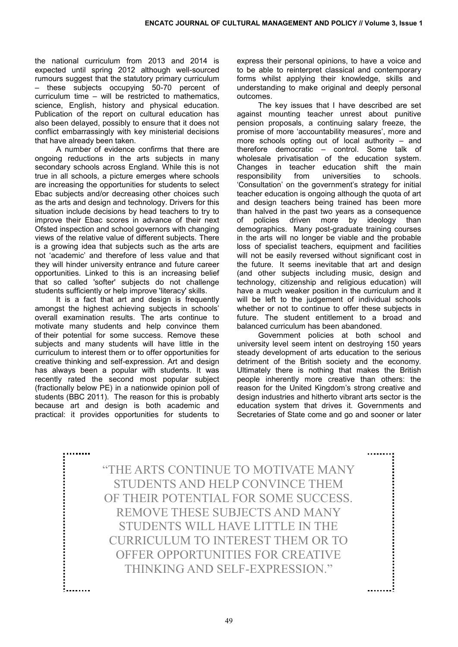the national curriculum from 2013 and 2014 is expected until spring 2012 although well-sourced rumours suggest that the statutory primary curriculum – these subjects occupying 50-70 percent of curriculum time – will be restricted to mathematics, science, English, history and physical education. Publication of the report on cultural education has also been delayed, possibly to ensure that it does not conflict embarrassingly with key ministerial decisions that have already been taken.

A number of evidence confirms that there are ongoing reductions in the arts subjects in many secondary schools across England. While this is not true in all schools, a picture emerges where schools are increasing the opportunities for students to select Ebac subjects and/or decreasing other choices such as the arts and design and technology. Drivers for this situation include decisions by head teachers to try to improve their Ebac scores in advance of their next Ofsted inspection and school governors with changing views of the relative value of different subjects. There is a growing idea that subjects such as the arts are not 'academic' and therefore of less value and that they will hinder university entrance and future career opportunities. Linked to this is an increasing belief that so called 'softer' subjects do not challenge students sufficiently or help improve 'literacy' skills.

It is a fact that art and design is frequently amongst the highest achieving subjects in schools' overall examination results. The arts continue to motivate many students and help convince them of their potential for some success. Remove these subjects and many students will have little in the curriculum to interest them or to offer opportunities for creative thinking and self-expression. Art and design has always been a popular with students. It was recently rated the second most popular subject (fractionally below PE) in a nationwide opinion poll of students (BBC 2011). The reason for this is probably because art and design is both academic and practical: it provides opportunities for students to

express their personal opinions, to have a voice and to be able to reinterpret classical and contemporary forms whilst applying their knowledge, skills and understanding to make original and deeply personal outcomes.

The key issues that I have described are set against mounting teacher unrest about punitive pension proposals, a continuing salary freeze, the promise of more 'accountability measures', more and more schools opting out of local authority – and therefore democratic – control. Some talk of wholesale privatisation of the education system. Changes in teacher education shift the main responsibility from universities to schools. 'Consultation' on the government's strategy for initial teacher education is ongoing although the quota of art and design teachers being trained has been more than halved in the past two years as a consequence of policies driven more by ideology than demographics. Many post-graduate training courses in the arts will no longer be viable and the probable loss of specialist teachers, equipment and facilities will not be easily reversed without significant cost in the future. It seems inevitable that art and design (and other subjects including music, design and technology, citizenship and religious education) will have a much weaker position in the curriculum and it will be left to the judgement of individual schools whether or not to continue to offer these subjects in future. The student entitlement to a broad and balanced curriculum has been abandoned.

Government policies at both school and university level seem intent on destroying 150 years steady development of arts education to the serious detriment of the British society and the economy. Ultimately there is nothing that makes the British people inherently more creative than others: the reason for the United Kingdom's strong creative and design industries and hitherto vibrant arts sector is the education system that drives it. Governments and Secretaries of State come and go and sooner or later

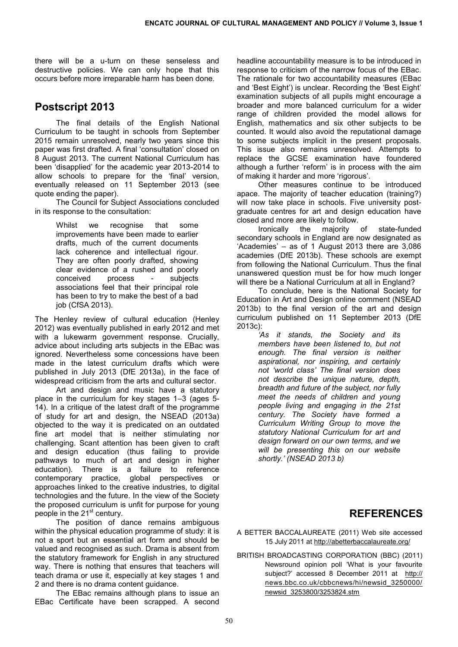there will be a u-turn on these senseless and destructive policies. We can only hope that this occurs before more irreparable harm has been done.

#### **Postscript 2013**

The final details of the English National Curriculum to be taught in schools from September 2015 remain unresolved, nearly two years since this paper was first drafted. A final 'consultation' closed on 8 August 2013. The current National Curriculum has been 'disapplied' for the academic year 2013-2014 to allow schools to prepare for the 'final' version, eventually released on 11 September 2013 (see quote ending the paper).

The Council for Subject Associations concluded in its response to the consultation:

> Whilst we recognise that some improvements have been made to earlier drafts, much of the current documents lack coherence and intellectual rigour. They are often poorly drafted, showing clear evidence of a rushed and poorly conceived process - subjects associations feel that their principal role has been to try to make the best of a bad job (CfSA 2013).

The Henley review of cultural education (Henley 2012) was eventually published in early 2012 and met with a lukewarm government response. Crucially, advice about including arts subjects in the EBac was ignored. Nevertheless some concessions have been made in the latest curriculum drafts which were published in July 2013 (DfE 2013a), in the face of widespread criticism from the arts and cultural sector.

Art and design and music have a statutory place in the curriculum for key stages 1–3 (ages 5- 14). In a critique of the latest draft of the programme of study for art and design, the NSEAD (2013a) objected to the way it is predicated on an outdated fine art model that is neither stimulating nor challenging. Scant attention has been given to craft and design education (thus failing to provide pathways to much of art and design in higher education). There is a failure to reference contemporary practice, global perspectives or approaches linked to the creative industries, to digital technologies and the future. In the view of the Society the proposed curriculum is unfit for purpose for young people in the 21<sup>st</sup> century.

The position of dance remains ambiguous within the physical education programme of study: it is not a sport but an essential art form and should be valued and recognised as such. Drama is absent from the statutory framework for English in any structured way. There is nothing that ensures that teachers will teach drama or use it, especially at key stages 1 and 2 and there is no drama content guidance.

The EBac remains although plans to issue an EBac Certificate have been scrapped. A second

headline accountability measure is to be introduced in response to criticism of the narrow focus of the EBac. The rationale for two accountability measures (EBac and 'Best Eight') is unclear. Recording the 'Best Eight' examination subjects of all pupils might encourage a broader and more balanced curriculum for a wider range of children provided the model allows for English, mathematics and six other subjects to be counted. It would also avoid the reputational damage to some subjects implicit in the present proposals. This issue also remains unresolved. Attempts to replace the GCSE examination have foundered although a further 'reform' is in process with the aim of making it harder and more 'rigorous'.

Other measures continue to be introduced apace. The majority of teacher education (training?) will now take place in schools. Five university postgraduate centres for art and design education have closed and more are likely to follow.

Ironically the majority of state-funded secondary schools in England are now designated as 'Academies' – as of 1 August 2013 there are 3,086 academies (DfE 2013b). These schools are exempt from following the National Curriculum. Thus the final unanswered question must be for how much longer will there be a National Curriculum at all in England?

To conclude, here is the National Society for Education in Art and Design online comment (NSEAD 2013b) to the final version of the art and design curriculum published on 11 September 2013 (DfE 2013c):

*'As it stands, the Society and its members have been listened to, but not enough. The final version is neither aspirational, nor inspiring, and certainly not 'world class' The final version does not describe the unique nature, depth, breadth and future of the subject, nor fully meet the needs of children and young people living and engaging in the 21st century. The Society have formed a Curriculum Writing Group to move the statutory National Curriculum for art and design forward on our own terms, and we will be presenting this on our website shortly.' (NSEAD 2013 b)*

#### **REFERENCES**

- A BETTER BACCALAUREATE (2011) Web site accessed 15 July 2011 at<http://abetterbaccalaureate.org/>
- BRITISH BROADCASTING CORPORATION (BBC) (2011) Newsround opinion poll 'What is your favourite subject?' accessed 8 December 2011 at [http://](http://news.bbc.co.uk/cbbcnews/hi/newsid_3250000/newsid_3253800/3253824.stm) [news.bbc.co.uk/cbbcnews/hi/newsid\\_3250000/](http://news.bbc.co.uk/cbbcnews/hi/newsid_3250000/newsid_3253800/3253824.stm) [newsid\\_3253800/3253824.stm](http://news.bbc.co.uk/cbbcnews/hi/newsid_3250000/newsid_3253800/3253824.stm)